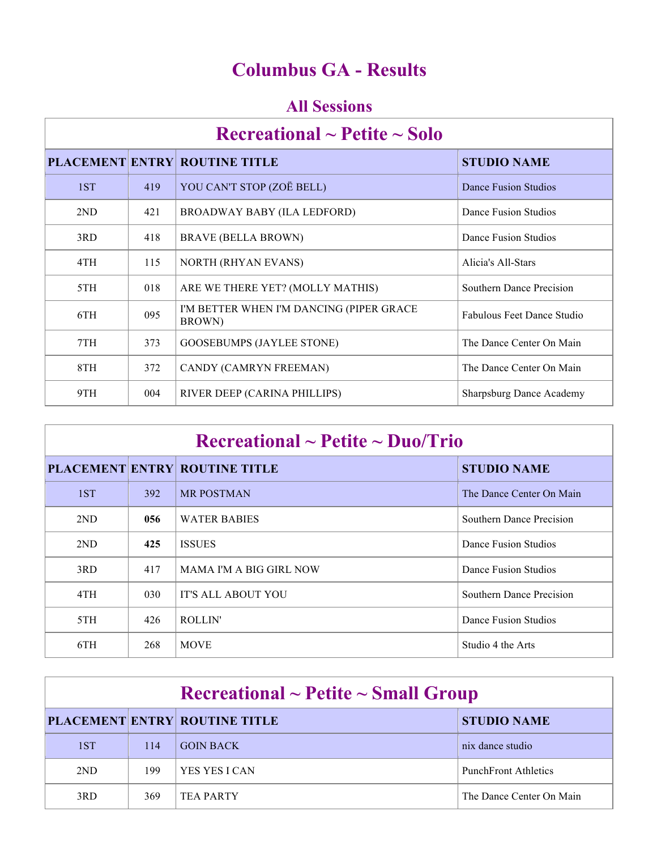# **Columbus GA - Results**

### **All Sessions**

| Recreational $\sim$ Petite $\sim$ Solo |     |                                                    |                            |  |
|----------------------------------------|-----|----------------------------------------------------|----------------------------|--|
|                                        |     | <b>PLACEMENT ENTRY ROUTINE TITLE</b>               | <b>STUDIO NAME</b>         |  |
| 1ST                                    | 419 | YOU CAN'T STOP (ZOË BELL)                          | Dance Fusion Studios       |  |
| 2ND                                    | 421 | BROADWAY BABY (ILA LEDFORD)                        | Dance Fusion Studios       |  |
| 3RD                                    | 418 | BRAVE (BELLA BROWN)                                | Dance Fusion Studios       |  |
| 4TH                                    | 115 | <b>NORTH (RHYAN EVANS)</b>                         | Alicia's All-Stars         |  |
| 5TH                                    | 018 | ARE WE THERE YET? (MOLLY MATHIS)                   | Southern Dance Precision   |  |
| 6TH                                    | 095 | I'M BETTER WHEN I'M DANCING (PIPER GRACE<br>BROWN) | Fabulous Feet Dance Studio |  |
| 7TH                                    | 373 | <b>GOOSEBUMPS (JAYLEE STONE)</b>                   | The Dance Center On Main   |  |
| 8TH                                    | 372 | CANDY (CAMRYN FREEMAN)                             | The Dance Center On Main   |  |
| 9TH                                    | 004 | RIVER DEEP (CARINA PHILLIPS)                       | Sharpsburg Dance Academy   |  |

| $\rm Recreational \sim Petite \sim Duo/Trio$ |            |                                      |                          |  |
|----------------------------------------------|------------|--------------------------------------|--------------------------|--|
|                                              |            | <b>PLACEMENT ENTRY ROUTINE TITLE</b> | <b>STUDIO NAME</b>       |  |
| 1ST                                          | <b>392</b> | <b>MR POSTMAN</b>                    | The Dance Center On Main |  |
| 2ND                                          | 056        | <b>WATER BABIES</b>                  | Southern Dance Precision |  |
| 2ND                                          | 425        | <b>ISSUES</b>                        | Dance Fusion Studios     |  |
| 3RD                                          | 417        | <b>MAMA I'M A BIG GIRL NOW</b>       | Dance Fusion Studios     |  |
| 4TH                                          | 030        | <b>IT'S ALL ABOUT YOU</b>            | Southern Dance Precision |  |
| 5TH                                          | 426        | ROLLIN'                              | Dance Fusion Studios     |  |
| 6TH                                          | 268        | <b>MOVE</b>                          | Studio 4 the Arts        |  |

| $\rm Recreational \sim Petite \sim Small~Group$ |     |                                      |                             |  |
|-------------------------------------------------|-----|--------------------------------------|-----------------------------|--|
|                                                 |     | <b>PLACEMENT ENTRY ROUTINE TITLE</b> | <b>STUDIO NAME</b>          |  |
| 1ST                                             | 114 | <b>GOIN BACK</b>                     | nix dance studio            |  |
| 2ND                                             | 199 | YES YES LCAN                         | <b>PunchFront Athletics</b> |  |
| 3RD                                             | 369 | TEA PARTY                            | The Dance Center On Main    |  |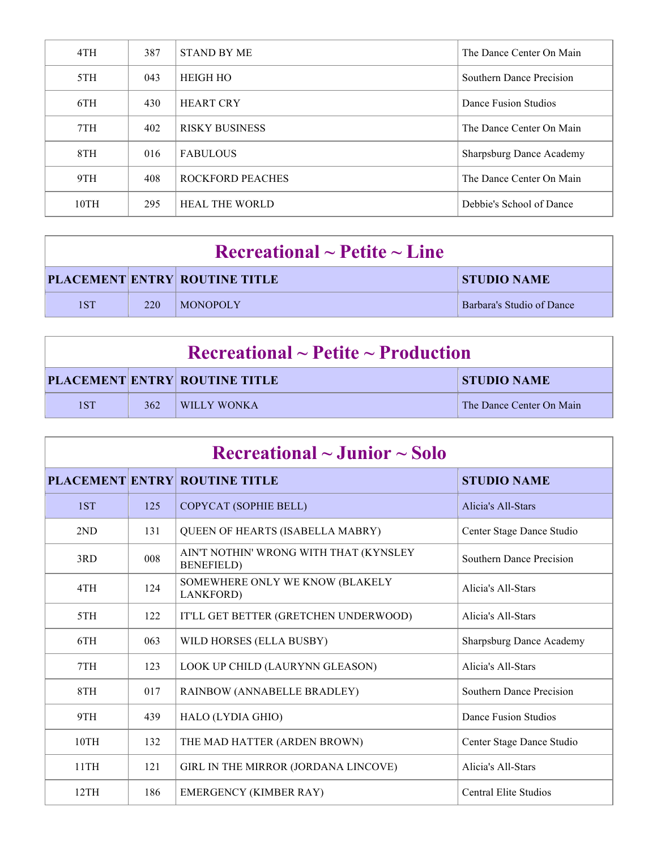| 4TH  | 387 | <b>STAND BY ME</b>      | The Dance Center On Main        |
|------|-----|-------------------------|---------------------------------|
| 5TH  | 043 | <b>HEIGH HO</b>         | Southern Dance Precision        |
| 6TH  | 430 | <b>HEART CRY</b>        | Dance Fusion Studios            |
| 7TH  | 402 | <b>RISKY BUSINESS</b>   | The Dance Center On Main        |
| 8TH  | 016 | <b>FABULOUS</b>         | <b>Sharpsburg Dance Academy</b> |
| 9TH  | 408 | <b>ROCKFORD PEACHES</b> | The Dance Center On Main        |
| 10TH | 295 | <b>HEAL THE WORLD</b>   | Debbie's School of Dance        |

| $\rm Recreational \sim Petitle \sim Line$ |     |                                      |                           |  |
|-------------------------------------------|-----|--------------------------------------|---------------------------|--|
|                                           |     | <b>PLACEMENT ENTRY ROUTINE TITLE</b> | <b>STUDIO NAME</b>        |  |
| 1ST                                       | 220 | MONOPOLY                             | Barbara's Studio of Dance |  |

| $\rm Recreational \sim Petite \sim Production$ |     |                                      |                          |  |
|------------------------------------------------|-----|--------------------------------------|--------------------------|--|
|                                                |     | <b>PLACEMENT ENTRY ROUTINE TITLE</b> | <b>STUDIO NAME</b>       |  |
| 1ST                                            | 362 | <b>UWILLY WONKA</b>                  | The Dance Center On Main |  |

| $\rm Recreational \sim Junior \sim Solo$ |     |                                                              |                                 |  |
|------------------------------------------|-----|--------------------------------------------------------------|---------------------------------|--|
|                                          |     | <b>PLACEMENT ENTRY ROUTINE TITLE</b>                         | <b>STUDIO NAME</b>              |  |
| 1ST                                      | 125 | COPYCAT (SOPHIE BELL)                                        | Alicia's All-Stars              |  |
| 2ND                                      | 131 | <b>QUEEN OF HEARTS (ISABELLA MABRY)</b>                      | Center Stage Dance Studio       |  |
| 3RD                                      | 008 | AIN'T NOTHIN' WRONG WITH THAT (KYNSLEY<br><b>BENEFIELD</b> ) | Southern Dance Precision        |  |
| 4TH                                      | 124 | SOMEWHERE ONLY WE KNOW (BLAKELY<br>LANKFORD)                 | Alicia's All-Stars              |  |
| 5TH                                      | 122 | IT'LL GET BETTER (GRETCHEN UNDERWOOD)                        | Alicia's All-Stars              |  |
| 6TH                                      | 063 | WILD HORSES (ELLA BUSBY)                                     | <b>Sharpsburg Dance Academy</b> |  |
| 7TH                                      | 123 | LOOK UP CHILD (LAURYNN GLEASON)                              | Alicia's All-Stars              |  |
| 8TH                                      | 017 | RAINBOW (ANNABELLE BRADLEY)                                  | <b>Southern Dance Precision</b> |  |
| 9TH                                      | 439 | HALO (LYDIA GHIO)                                            | Dance Fusion Studios            |  |
| 10TH                                     | 132 | THE MAD HATTER (ARDEN BROWN)                                 | Center Stage Dance Studio       |  |
| 11TH                                     | 121 | GIRL IN THE MIRROR (JORDANA LINCOVE)                         | Alicia's All-Stars              |  |
| 12TH                                     | 186 | EMERGENCY (KIMBER RAY)                                       | <b>Central Elite Studios</b>    |  |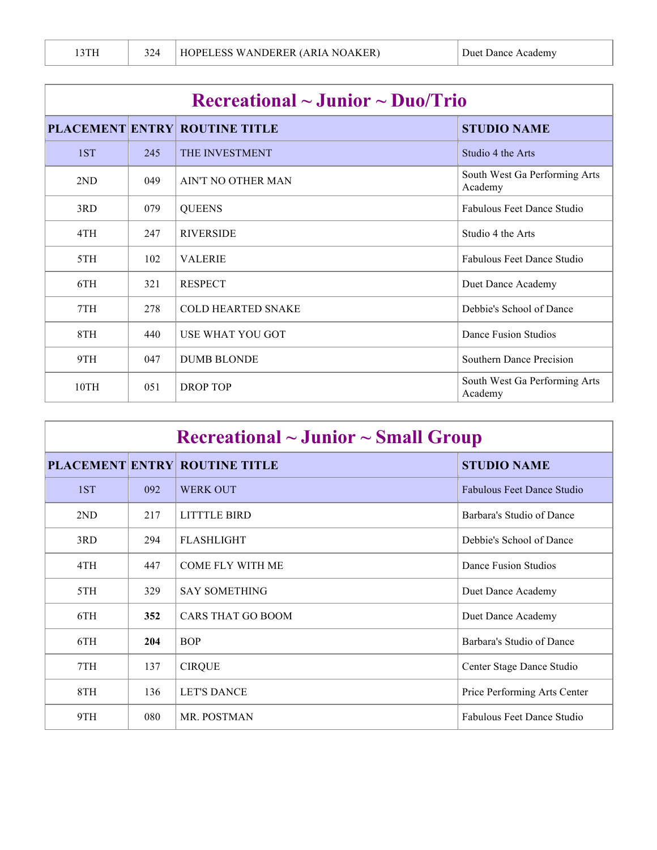| Recreational $\sim$ Junior $\sim$ Duo/Trio |     |                                      |                                          |  |
|--------------------------------------------|-----|--------------------------------------|------------------------------------------|--|
|                                            |     | <b>PLACEMENT ENTRY ROUTINE TITLE</b> | <b>STUDIO NAME</b>                       |  |
| 1ST                                        | 245 | <b>THE INVESTMENT</b>                | Studio 4 the Arts                        |  |
| 2ND                                        | 049 | AIN'T NO OTHER MAN                   | South West Ga Performing Arts<br>Academy |  |
| 3RD                                        | 079 | <b>QUEENS</b>                        | <b>Fabulous Feet Dance Studio</b>        |  |
| 4TH                                        | 247 | <b>RIVERSIDE</b>                     | Studio 4 the Arts                        |  |
| 5TH                                        | 102 | <b>VALERIE</b>                       | Fabulous Feet Dance Studio               |  |
| 6TH                                        | 321 | <b>RESPECT</b>                       | Duet Dance Academy                       |  |
| 7TH                                        | 278 | <b>COLD HEARTED SNAKE</b>            | Debbie's School of Dance                 |  |
| 8TH                                        | 440 | USE WHAT YOU GOT                     | Dance Fusion Studios                     |  |
| 9TH                                        | 047 | <b>DUMB BLONDE</b>                   | Southern Dance Precision                 |  |
| 10TH                                       | 051 | DROP TOP                             | South West Ga Performing Arts<br>Academy |  |

| $\rm Recreational \sim Junior \sim Small~Group$ |     |                                      |                                   |  |
|-------------------------------------------------|-----|--------------------------------------|-----------------------------------|--|
|                                                 |     | <b>PLACEMENT ENTRY ROUTINE TITLE</b> | <b>STUDIO NAME</b>                |  |
| 1ST                                             | 092 | <b>WERK OUT</b>                      | <b>Fabulous Feet Dance Studio</b> |  |
| 2ND                                             | 217 | <b>LITTTLE BIRD</b>                  | Barbara's Studio of Dance         |  |
| 3RD                                             | 294 | <b>FLASHLIGHT</b>                    | Debbie's School of Dance          |  |
| 4TH                                             | 447 | <b>COME FLY WITH ME</b>              | Dance Fusion Studios              |  |
| 5TH                                             | 329 | <b>SAY SOMETHING</b>                 | Duet Dance Academy                |  |
| 6TH                                             | 352 | <b>CARS THAT GO BOOM</b>             | Duet Dance Academy                |  |
| 6TH                                             | 204 | <b>BOP</b>                           | Barbara's Studio of Dance         |  |
| 7TH                                             | 137 | <b>CIRQUE</b>                        | Center Stage Dance Studio         |  |
| 8TH                                             | 136 | <b>LET'S DANCE</b>                   | Price Performing Arts Center      |  |
| 9TH                                             | 080 | MR. POSTMAN                          | <b>Fabulous Feet Dance Studio</b> |  |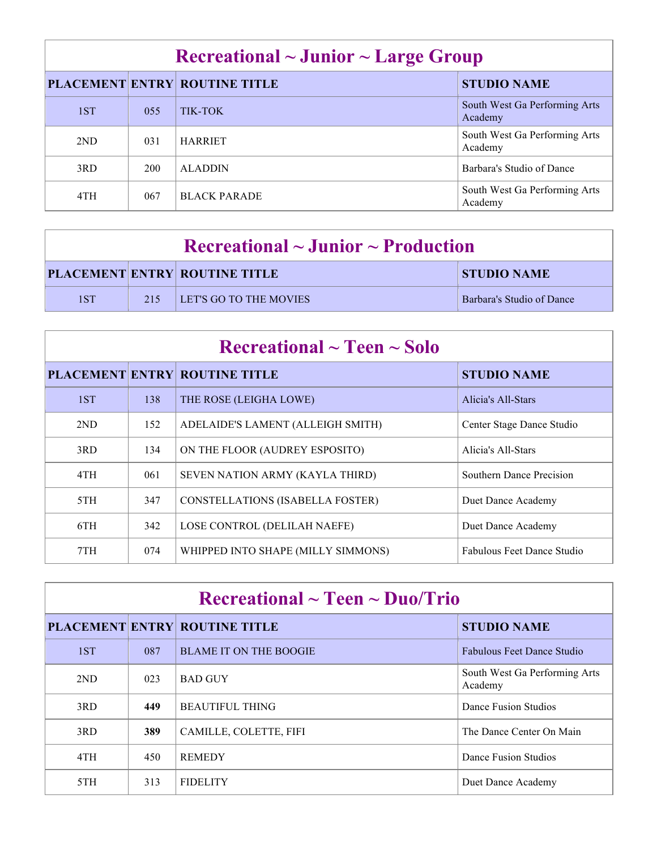|     |     | <b>PLACEMENT ENTRY ROUTINE TITLE</b> | <b>STUDIO NAME</b>                       |
|-----|-----|--------------------------------------|------------------------------------------|
| 1ST | 055 | TIK-TOK                              | South West Ga Performing Arts<br>Academy |
| 2ND | 031 | <b>HARRIET</b>                       | South West Ga Performing Arts<br>Academy |
| 3RD | 200 | <b>ALADDIN</b>                       | Barbara's Studio of Dance                |
| 4TH | 067 | <b>BLACK PARADE</b>                  | South West Ga Performing Arts<br>Academy |

| $\rm Recreational \sim Junior \sim Production$ |     |                                      |                                  |  |
|------------------------------------------------|-----|--------------------------------------|----------------------------------|--|
|                                                |     | <b>PLACEMENT ENTRY ROUTINE TITLE</b> | STUDIO NAME                      |  |
| 1ST                                            | 215 | <b>LET'S GO TO THE MOVIES</b>        | <b>Barbara's Studio of Dance</b> |  |

| $\rm Recreational \sim Teen \sim Solo$ |     |                                         |                            |  |
|----------------------------------------|-----|-----------------------------------------|----------------------------|--|
|                                        |     | <b>PLACEMENT ENTRY ROUTINE TITLE</b>    | <b>STUDIO NAME</b>         |  |
| 1ST                                    | 138 | THE ROSE (LEIGHA LOWE)                  | Alicia's All-Stars         |  |
| 2 <sub>ND</sub>                        | 152 | ADELAIDE'S LAMENT (ALLEIGH SMITH)       | Center Stage Dance Studio  |  |
| 3RD                                    | 134 | ON THE FLOOR (AUDREY ESPOSITO)          | Alicia's All-Stars         |  |
| 4TH                                    | 061 | SEVEN NATION ARMY (KAYLA THIRD)         | Southern Dance Precision   |  |
| 5TH                                    | 347 | <b>CONSTELLATIONS (ISABELLA FOSTER)</b> | Duet Dance Academy         |  |
| 6TH                                    | 342 | LOSE CONTROL (DELILAH NAEFE)            | Duet Dance Academy         |  |
| 7TH                                    | 074 | WHIPPED INTO SHAPE (MILLY SIMMONS)      | Fabulous Feet Dance Studio |  |

| $\rm Recreational \sim Teen \sim Duo/Trio$ |     |                                      |                                          |  |
|--------------------------------------------|-----|--------------------------------------|------------------------------------------|--|
|                                            |     | <b>PLACEMENT ENTRY ROUTINE TITLE</b> | <b>STUDIO NAME</b>                       |  |
| 1ST                                        | 087 | <b>BLAME IT ON THE BOOGIE</b>        | <b>Fabulous Feet Dance Studio</b>        |  |
| 2ND                                        | 023 | <b>BAD GUY</b>                       | South West Ga Performing Arts<br>Academy |  |
| 3RD                                        | 449 | <b>BEAUTIFUL THING</b>               | Dance Fusion Studios                     |  |
| 3RD                                        | 389 | CAMILLE, COLETTE, FIFI               | The Dance Center On Main                 |  |
| 4TH                                        | 450 | <b>REMEDY</b>                        | Dance Fusion Studios                     |  |
| 5TH                                        | 313 | <b>FIDELITY</b>                      | Duet Dance Academy                       |  |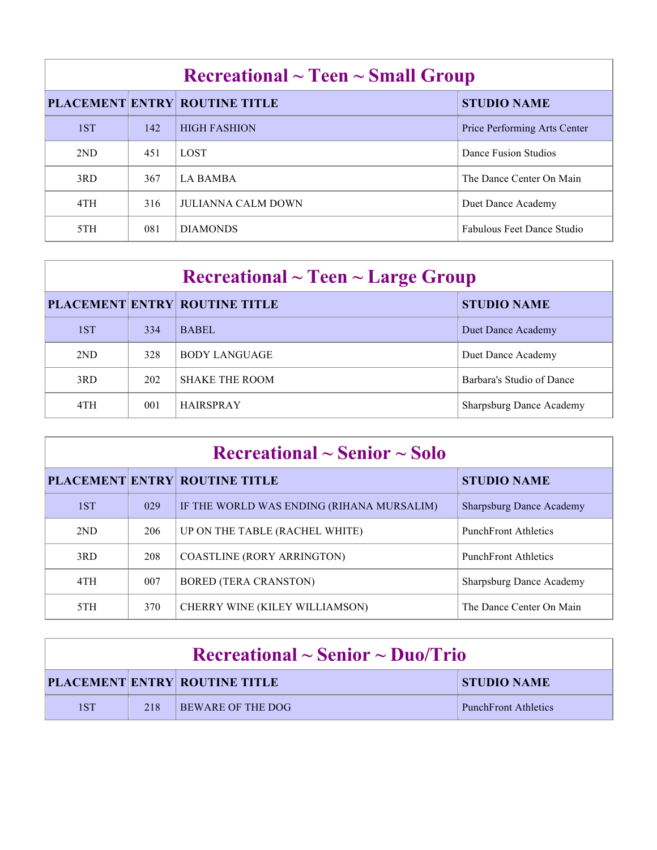| $\rm Recreational \sim Teen \sim Small\,\, Group$ |     |                                      |                                   |  |
|---------------------------------------------------|-----|--------------------------------------|-----------------------------------|--|
|                                                   |     | <b>PLACEMENT ENTRY ROUTINE TITLE</b> | <b>STUDIO NAME</b>                |  |
| 1ST                                               | 142 | <b>HIGH FASHION</b>                  | Price Performing Arts Center      |  |
| 2ND                                               | 451 | <b>LOST</b>                          | Dance Fusion Studios              |  |
| 3RD                                               | 367 | <b>LA BAMBA</b>                      | The Dance Center On Main          |  |
| 4TH                                               | 316 | <b>JULIANNA CALM DOWN</b>            | Duet Dance Academy                |  |
| 5TH                                               | 081 | <b>DIAMONDS</b>                      | <b>Fabulous Feet Dance Studio</b> |  |

| $\rm Recreational \sim Teen \sim Large\ Group$ |     |                                      |                                 |  |
|------------------------------------------------|-----|--------------------------------------|---------------------------------|--|
|                                                |     | <b>PLACEMENT ENTRY ROUTINE TITLE</b> | <b>STUDIO NAME</b>              |  |
| 1ST                                            | 334 | <b>BABEL</b>                         | Duet Dance Academy              |  |
| 2ND                                            | 328 | <b>BODY LANGUAGE</b>                 | Duet Dance Academy              |  |
| 3RD                                            | 202 | <b>SHAKE THE ROOM</b>                | Barbara's Studio of Dance       |  |
| 4TH                                            | 001 | <b>HAIRSPRAY</b>                     | <b>Sharpsburg Dance Academy</b> |  |

| $\rm Recreational \sim Senior \sim Solo$ |     |                                           |                                 |  |
|------------------------------------------|-----|-------------------------------------------|---------------------------------|--|
|                                          |     | <b>PLACEMENT ENTRY ROUTINE TITLE</b>      | <b>STUDIO NAME</b>              |  |
| 1ST                                      | 029 | IF THE WORLD WAS ENDING (RIHANA MURSALIM) | <b>Sharpsburg Dance Academy</b> |  |
| 2ND                                      | 206 | UP ON THE TABLE (RACHEL WHITE)            | <b>PunchFront Athletics</b>     |  |
| 3RD                                      | 208 | <b>COASTLINE (RORY ARRINGTON)</b>         | <b>PunchFront Athletics</b>     |  |
| 4TH                                      | 007 | <b>BORED (TERA CRANSTON)</b>              | <b>Sharpsburg Dance Academy</b> |  |
| 5TH                                      | 370 | CHERRY WINE (KILEY WILLIAMSON)            | The Dance Center On Main        |  |

| $\rm Recreational \sim Senior \sim Duo/Trio$ |     |                                      |                             |  |
|----------------------------------------------|-----|--------------------------------------|-----------------------------|--|
|                                              |     | <b>PLACEMENT ENTRY ROUTINE TITLE</b> | <b>STUDIO NAME</b>          |  |
| 1ST                                          | 218 | <b>BEWARE OF THE DOG</b>             | <b>PunchFront Athletics</b> |  |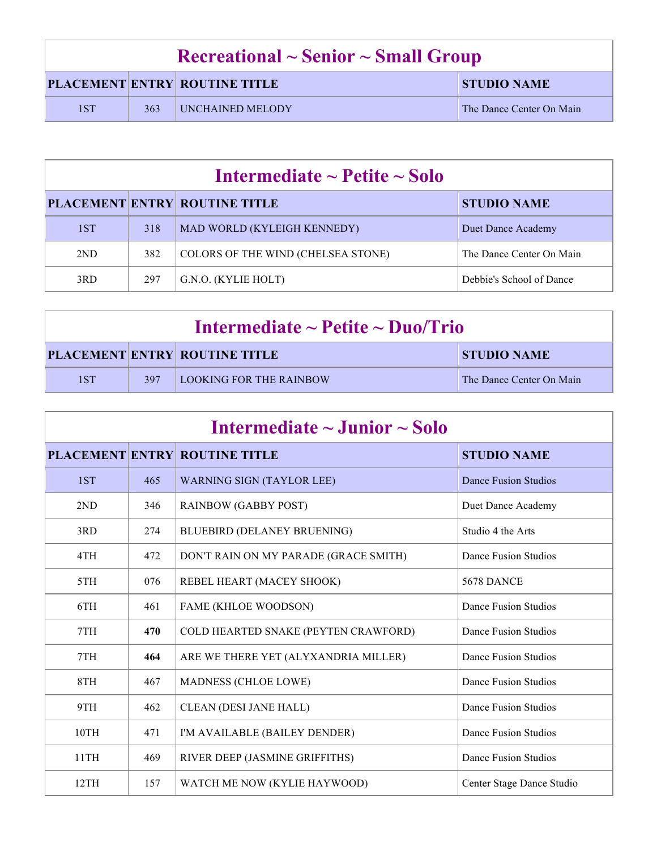| $\rm Recreational \sim Senior \sim Small\,\, Group$ |     |                                      |                          |
|-----------------------------------------------------|-----|--------------------------------------|--------------------------|
|                                                     |     | <b>PLACEMENT ENTRY ROUTINE TITLE</b> | <b>STUDIO NAME</b>       |
| 1ST                                                 | 363 | UNCHAINED MELODY                     | The Dance Center On Main |

| Intermediate $\sim$ Petite $\sim$ Solo |     |                                      |                          |  |
|----------------------------------------|-----|--------------------------------------|--------------------------|--|
|                                        |     | <b>PLACEMENT ENTRY ROUTINE TITLE</b> | <b>STUDIO NAME</b>       |  |
| 1ST                                    | 318 | MAD WORLD (KYLEIGH KENNEDY)          | Duet Dance Academy       |  |
| 2ND                                    | 382 | COLORS OF THE WIND (CHELSEA STONE)   | The Dance Center On Main |  |
| 3RD                                    | 297 | G.N.O. (KYLIE HOLT)                  | Debbie's School of Dance |  |

| Intermediate $\sim$ Petite $\sim$ Duo/Trio |     |                                      |                          |
|--------------------------------------------|-----|--------------------------------------|--------------------------|
|                                            |     | <b>PLACEMENT ENTRY ROUTINE TITLE</b> | STUDIO NAME              |
| 1ST                                        | 397 | <b>LOOKING FOR THE RAINBOW</b>       | The Dance Center On Main |

| Intermediate $\sim$ Junior $\sim$ Solo |     |                                       |                             |
|----------------------------------------|-----|---------------------------------------|-----------------------------|
|                                        |     | <b>PLACEMENT ENTRY ROUTINE TITLE</b>  | <b>STUDIO NAME</b>          |
| 1ST                                    | 465 | <b>WARNING SIGN (TAYLOR LEE)</b>      | Dance Fusion Studios        |
| 2ND                                    | 346 | <b>RAINBOW (GABBY POST)</b>           | Duet Dance Academy          |
| 3RD                                    | 274 | <b>BLUEBIRD (DELANEY BRUENING)</b>    | Studio 4 the Arts           |
| 4TH                                    | 472 | DON'T RAIN ON MY PARADE (GRACE SMITH) | Dance Fusion Studios        |
| 5TH                                    | 076 | REBEL HEART (MACEY SHOOK)             | <b>5678 DANCE</b>           |
| 6TH                                    | 461 | FAME (KHLOE WOODSON)                  | Dance Fusion Studios        |
| 7TH                                    | 470 | COLD HEARTED SNAKE (PEYTEN CRAWFORD)  | Dance Fusion Studios        |
| 7TH                                    | 464 | ARE WE THERE YET (ALYXANDRIA MILLER)  | Dance Fusion Studios        |
| 8TH                                    | 467 | <b>MADNESS (CHLOE LOWE)</b>           | Dance Fusion Studios        |
| 9TH                                    | 462 | <b>CLEAN (DESI JANE HALL)</b>         | Dance Fusion Studios        |
| 10TH                                   | 471 | I'M AVAILABLE (BAILEY DENDER)         | Dance Fusion Studios        |
| 11TH                                   | 469 | RIVER DEEP (JASMINE GRIFFITHS)        | <b>Dance Fusion Studios</b> |
| 12TH                                   | 157 | WATCH ME NOW (KYLIE HAYWOOD)          | Center Stage Dance Studio   |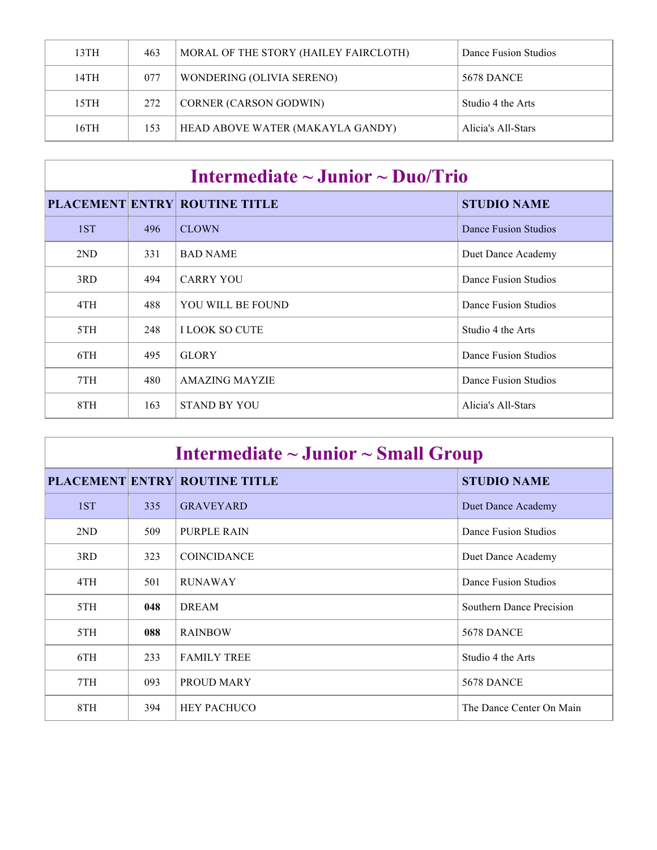| 13TH | 463 | MORAL OF THE STORY (HAILEY FAIRCLOTH) | Dance Fusion Studios |
|------|-----|---------------------------------------|----------------------|
| 14TH | 077 | WONDERING (OLIVIA SERENO)             | 5678 DANCE           |
| 15TH | 272 | <b>CORNER (CARSON GODWIN)</b>         | Studio 4 the Arts    |
| 16TH | 153 | HEAD ABOVE WATER (MAKAYLA GANDY)      | Alicia's All-Stars   |

| Intermediate $\sim$ Junior $\sim$ Duo/Trio |     |                                      |                      |  |
|--------------------------------------------|-----|--------------------------------------|----------------------|--|
|                                            |     | <b>PLACEMENT ENTRY ROUTINE TITLE</b> | <b>STUDIO NAME</b>   |  |
| 1ST                                        | 496 | <b>CLOWN</b>                         | Dance Fusion Studios |  |
| 2ND                                        | 331 | <b>BAD NAME</b>                      | Duet Dance Academy   |  |
| 3RD                                        | 494 | <b>CARRY YOU</b>                     | Dance Fusion Studios |  |
| 4TH                                        | 488 | YOU WILL BE FOUND                    | Dance Fusion Studios |  |
| 5TH                                        | 248 | <b>I LOOK SO CUTE</b>                | Studio 4 the Arts    |  |
| 6TH                                        | 495 | <b>GLORY</b>                         | Dance Fusion Studios |  |
| 7TH                                        | 480 | <b>AMAZING MAYZIE</b>                | Dance Fusion Studios |  |
| 8TH                                        | 163 | <b>STAND BY YOU</b>                  | Alicia's All-Stars   |  |

| Intermediate $\sim$ Junior $\sim$ Small Group |     |                                      |                          |
|-----------------------------------------------|-----|--------------------------------------|--------------------------|
|                                               |     | <b>PLACEMENT ENTRY ROUTINE TITLE</b> | <b>STUDIO NAME</b>       |
| 1ST                                           | 335 | <b>GRAVEYARD</b>                     | Duet Dance Academy       |
| 2ND                                           | 509 | PURPLE RAIN                          | Dance Fusion Studios     |
| 3RD                                           | 323 | <b>COINCIDANCE</b>                   | Duet Dance Academy       |
| 4TH                                           | 501 | <b>RUNAWAY</b>                       | Dance Fusion Studios     |
| 5TH                                           | 048 | <b>DREAM</b>                         | Southern Dance Precision |
| 5TH                                           | 088 | <b>RAINBOW</b>                       | <b>5678 DANCE</b>        |
| 6TH                                           | 233 | <b>FAMILY TREE</b>                   | Studio 4 the Arts        |
| 7TH                                           | 093 | PROUD MARY                           | <b>5678 DANCE</b>        |
| 8TH                                           | 394 | <b>HEY PACHUCO</b>                   | The Dance Center On Main |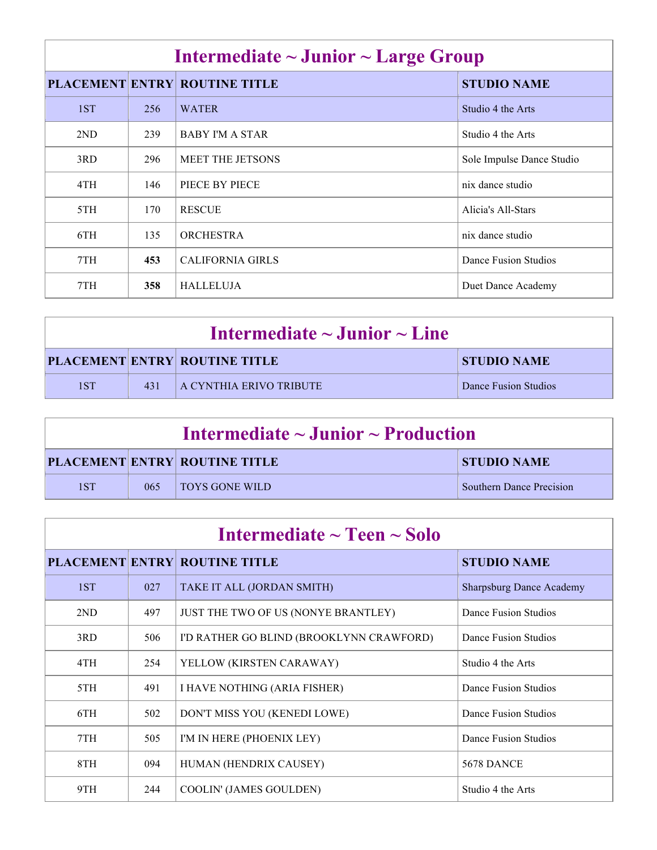| Intermediate $\sim$ Junior $\sim$ Large Group |     |                                      |                           |
|-----------------------------------------------|-----|--------------------------------------|---------------------------|
|                                               |     | <b>PLACEMENT ENTRY ROUTINE TITLE</b> | <b>STUDIO NAME</b>        |
| 1ST                                           | 256 | <b>WATER</b>                         | Studio 4 the Arts         |
| 2ND                                           | 239 | <b>BABY I'M A STAR</b>               | Studio 4 the Arts         |
| 3RD                                           | 296 | <b>MEET THE JETSONS</b>              | Sole Impulse Dance Studio |
| 4TH                                           | 146 | PIECE BY PIECE                       | nix dance studio          |
| 5TH                                           | 170 | <b>RESCUE</b>                        | Alicia's All-Stars        |
| 6TH                                           | 135 | <b>ORCHESTRA</b>                     | nix dance studio          |
| 7TH                                           | 453 | <b>CALIFORNIA GIRLS</b>              | Dance Fusion Studios      |
| 7TH                                           | 358 | <b>HALLELUJA</b>                     | Duet Dance Academy        |

| Intermediate $\sim$ Junior $\sim$ Line |     |                                      |                      |
|----------------------------------------|-----|--------------------------------------|----------------------|
|                                        |     | <b>PLACEMENT ENTRY ROUTINE TITLE</b> | <b>STUDIO NAME</b>   |
| 1ST                                    | 431 | <b>A CYNTHIA ERIVO TRIBUTE</b>       | Dance Fusion Studios |

| Intermediate $\sim$ Junior $\sim$ Production |     |                                      |                                 |
|----------------------------------------------|-----|--------------------------------------|---------------------------------|
|                                              |     | <b>PLACEMENT ENTRY ROUTINE TITLE</b> | <b>STUDIO NAME</b>              |
| 1ST                                          | 065 | <b>TOYS GONE WILD</b>                | <b>Southern Dance Precision</b> |

| Intermediate $\sim$ Teen $\sim$ Solo |     |                                          |                                 |
|--------------------------------------|-----|------------------------------------------|---------------------------------|
|                                      |     | <b>PLACEMENT ENTRY ROUTINE TITLE</b>     | <b>STUDIO NAME</b>              |
| 1ST                                  | 027 | TAKE IT ALL (JORDAN SMITH)               | <b>Sharpsburg Dance Academy</b> |
| 2ND                                  | 497 | JUST THE TWO OF US (NONYE BRANTLEY)      | Dance Fusion Studios            |
| 3RD                                  | 506 | I'D RATHER GO BLIND (BROOKLYNN CRAWFORD) | Dance Fusion Studios            |
| 4TH                                  | 254 | YELLOW (KIRSTEN CARAWAY)                 | Studio 4 the Arts               |
| 5TH                                  | 491 | I HAVE NOTHING (ARIA FISHER)             | Dance Fusion Studios            |
| 6TH                                  | 502 | DON'T MISS YOU (KENEDI LOWE)             | Dance Fusion Studios            |
| 7TH                                  | 505 | I'M IN HERE (PHOENIX LEY)                | Dance Fusion Studios            |
| 8TH                                  | 094 | HUMAN (HENDRIX CAUSEY)                   | <b>5678 DANCE</b>               |
| 9TH                                  | 244 | COOLIN' (JAMES GOULDEN)                  | Studio 4 the Arts               |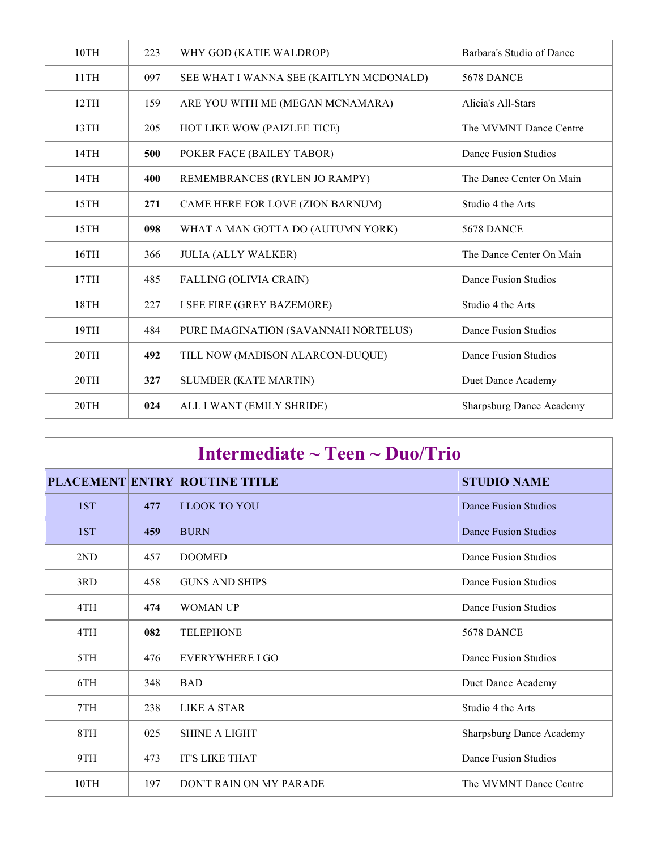| 10TH | 223 | WHY GOD (KATIE WALDROP)                 | Barbara's Studio of Dance       |
|------|-----|-----------------------------------------|---------------------------------|
| 11TH | 097 | SEE WHAT I WANNA SEE (KAITLYN MCDONALD) | <b>5678 DANCE</b>               |
| 12TH | 159 | ARE YOU WITH ME (MEGAN MCNAMARA)        | Alicia's All-Stars              |
| 13TH | 205 | HOT LIKE WOW (PAIZLEE TICE)             | The MVMNT Dance Centre          |
| 14TH | 500 | POKER FACE (BAILEY TABOR)               | Dance Fusion Studios            |
| 14TH | 400 | REMEMBRANCES (RYLEN JO RAMPY)           | The Dance Center On Main        |
| 15TH | 271 | CAME HERE FOR LOVE (ZION BARNUM)        | Studio 4 the Arts               |
| 15TH | 098 | WHAT A MAN GOTTA DO (AUTUMN YORK)       | 5678 DANCE                      |
| 16TH | 366 | <b>JULIA (ALLY WALKER)</b>              | The Dance Center On Main        |
| 17TH | 485 | FALLING (OLIVIA CRAIN)                  | Dance Fusion Studios            |
| 18TH | 227 | I SEE FIRE (GREY BAZEMORE)              | Studio 4 the Arts               |
| 19TH | 484 | PURE IMAGINATION (SAVANNAH NORTELUS)    | Dance Fusion Studios            |
| 20TH | 492 | TILL NOW (MADISON ALARCON-DUQUE)        | Dance Fusion Studios            |
| 20TH | 327 | <b>SLUMBER (KATE MARTIN)</b>            | Duet Dance Academy              |
| 20TH | 024 | ALL I WANT (EMILY SHRIDE)               | <b>Sharpsburg Dance Academy</b> |

| Intermediate $\sim$ Teen $\sim$ Duo/Trio |     |                                      |                                 |
|------------------------------------------|-----|--------------------------------------|---------------------------------|
|                                          |     | <b>PLACEMENT ENTRY ROUTINE TITLE</b> | <b>STUDIO NAME</b>              |
| 1ST                                      | 477 | <b>I LOOK TO YOU</b>                 | Dance Fusion Studios            |
| 1ST                                      | 459 | <b>BURN</b>                          | Dance Fusion Studios            |
| 2ND                                      | 457 | <b>DOOMED</b>                        | Dance Fusion Studios            |
| 3RD                                      | 458 | <b>GUNS AND SHIPS</b>                | Dance Fusion Studios            |
| 4TH                                      | 474 | <b>WOMAN UP</b>                      | Dance Fusion Studios            |
| 4TH                                      | 082 | <b>TELEPHONE</b>                     | 5678 DANCE                      |
| 5TH                                      | 476 | <b>EVERYWHERE I GO</b>               | Dance Fusion Studios            |
| 6TH                                      | 348 | <b>BAD</b>                           | Duet Dance Academy              |
| 7TH                                      | 238 | <b>LIKE A STAR</b>                   | Studio 4 the Arts               |
| 8TH                                      | 025 | <b>SHINE A LIGHT</b>                 | <b>Sharpsburg Dance Academy</b> |
| 9TH                                      | 473 | <b>IT'S LIKE THAT</b>                | <b>Dance Fusion Studios</b>     |
| 10TH                                     | 197 | DON'T RAIN ON MY PARADE              | The MVMNT Dance Centre          |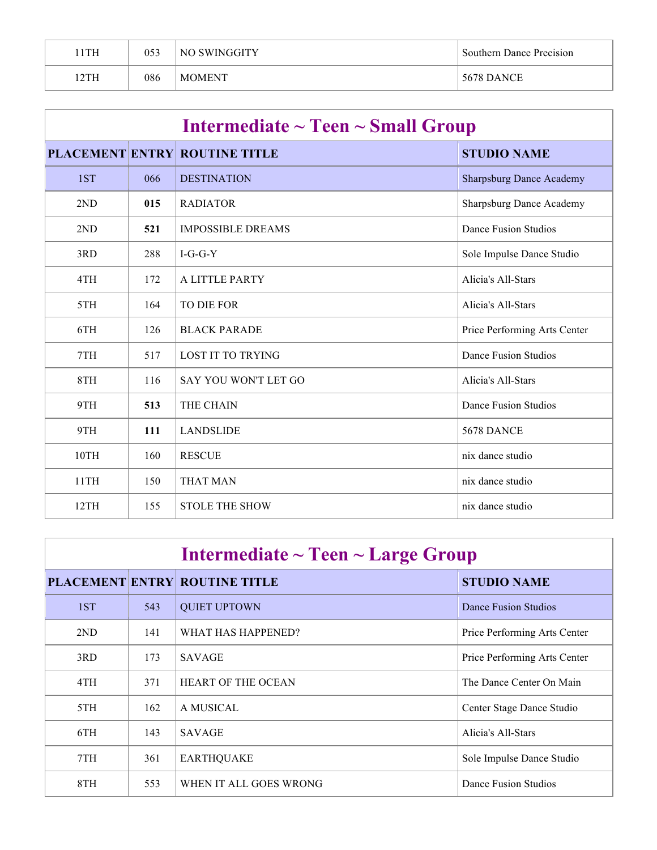| 1TH  | 053 | NO SWINGGITY  | <b>Southern Dance Precision</b> |
|------|-----|---------------|---------------------------------|
| 12TH | 086 | <b>MOMENT</b> | <b>5678 DANCE</b>               |

| Intermediate $\sim$ Teen $\sim$ Small Group |     |                                      |                                 |
|---------------------------------------------|-----|--------------------------------------|---------------------------------|
|                                             |     | <b>PLACEMENT ENTRY ROUTINE TITLE</b> | <b>STUDIO NAME</b>              |
| 1ST                                         | 066 | <b>DESTINATION</b>                   | <b>Sharpsburg Dance Academy</b> |
| 2ND                                         | 015 | <b>RADIATOR</b>                      | <b>Sharpsburg Dance Academy</b> |
| 2ND                                         | 521 | <b>IMPOSSIBLE DREAMS</b>             | <b>Dance Fusion Studios</b>     |
| 3RD                                         | 288 | $I-G-G-Y$                            | Sole Impulse Dance Studio       |
| 4TH                                         | 172 | A LITTLE PARTY                       | Alicia's All-Stars              |
| 5TH                                         | 164 | TO DIE FOR                           | Alicia's All-Stars              |
| 6TH                                         | 126 | <b>BLACK PARADE</b>                  | Price Performing Arts Center    |
| 7TH                                         | 517 | <b>LOST IT TO TRYING</b>             | Dance Fusion Studios            |
| 8TH                                         | 116 | SAY YOU WON'T LET GO                 | Alicia's All-Stars              |
| 9TH                                         | 513 | THE CHAIN                            | <b>Dance Fusion Studios</b>     |
| 9TH                                         | 111 | <b>LANDSLIDE</b>                     | <b>5678 DANCE</b>               |
| 10TH                                        | 160 | <b>RESCUE</b>                        | nix dance studio                |
| 11TH                                        | 150 | <b>THAT MAN</b>                      | nix dance studio                |
| 12TH                                        | 155 | <b>STOLE THE SHOW</b>                | nix dance studio                |

| Intermediate $\sim$ Teen $\sim$ Large Group |     |                                      |                              |
|---------------------------------------------|-----|--------------------------------------|------------------------------|
|                                             |     | <b>PLACEMENT ENTRY ROUTINE TITLE</b> | <b>STUDIO NAME</b>           |
| 1ST                                         | 543 | <b>QUIET UPTOWN</b>                  | Dance Fusion Studios         |
| 2ND                                         | 141 | WHAT HAS HAPPENED?                   | Price Performing Arts Center |
| 3RD                                         | 173 | <b>SAVAGE</b>                        | Price Performing Arts Center |
| 4TH                                         | 371 | HEART OF THE OCEAN                   | The Dance Center On Main     |
| 5TH                                         | 162 | A MUSICAL                            | Center Stage Dance Studio    |
| 6TH                                         | 143 | <b>SAVAGE</b>                        | Alicia's All-Stars           |
| 7TH                                         | 361 | <b>EARTHQUAKE</b>                    | Sole Impulse Dance Studio    |
| 8TH                                         | 553 | WHEN IT ALL GOES WRONG               | Dance Fusion Studios         |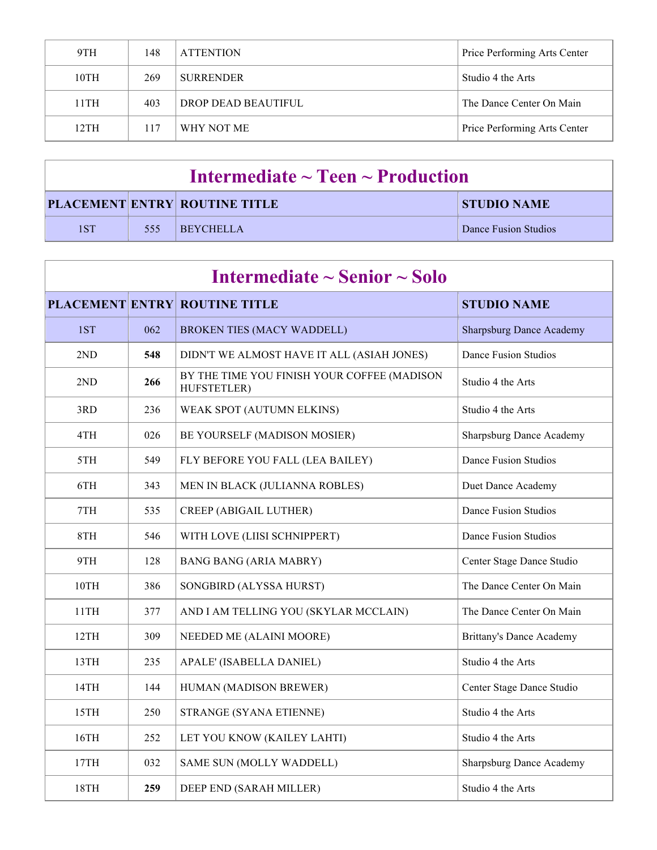| 9TH  | 148 | <b>ATTENTION</b>    | Price Performing Arts Center |
|------|-----|---------------------|------------------------------|
| 10TH | 269 | <b>SURRENDER</b>    | Studio 4 the Arts            |
| 11TH | 403 | DROP DEAD BEAUTIFUL | The Dance Center On Main     |
| 12TH | 117 | WHY NOT ME          | Price Performing Arts Center |

| Intermediate $\sim$ Teen $\sim$ Production |     |                                      |                      |
|--------------------------------------------|-----|--------------------------------------|----------------------|
|                                            |     | <b>PLACEMENT ENTRY ROUTINE TITLE</b> | <b>STUDIO NAME</b>   |
| 1ST                                        | 555 | <b>EREYCHELLA</b>                    | Dance Fusion Studios |

| Intermediate $\sim$ Senior $\sim$ Solo |     |                                                            |                                 |
|----------------------------------------|-----|------------------------------------------------------------|---------------------------------|
|                                        |     | <b>PLACEMENT ENTRY ROUTINE TITLE</b>                       | <b>STUDIO NAME</b>              |
| 1ST                                    | 062 | <b>BROKEN TIES (MACY WADDELL)</b>                          | <b>Sharpsburg Dance Academy</b> |
| 2ND                                    | 548 | DIDN'T WE ALMOST HAVE IT ALL (ASIAH JONES)                 | <b>Dance Fusion Studios</b>     |
| 2ND                                    | 266 | BY THE TIME YOU FINISH YOUR COFFEE (MADISON<br>HUFSTETLER) | Studio 4 the Arts               |
| 3RD                                    | 236 | WEAK SPOT (AUTUMN ELKINS)                                  | Studio 4 the Arts               |
| 4TH                                    | 026 | BE YOURSELF (MADISON MOSIER)                               | <b>Sharpsburg Dance Academy</b> |
| 5TH                                    | 549 | FLY BEFORE YOU FALL (LEA BAILEY)                           | <b>Dance Fusion Studios</b>     |
| 6TH                                    | 343 | MEN IN BLACK (JULIANNA ROBLES)                             | Duet Dance Academy              |
| 7TH                                    | 535 | <b>CREEP (ABIGAIL LUTHER)</b>                              | Dance Fusion Studios            |
| 8TH                                    | 546 | WITH LOVE (LIISI SCHNIPPERT)                               | Dance Fusion Studios            |
| 9TH                                    | 128 | <b>BANG BANG (ARIA MABRY)</b>                              | Center Stage Dance Studio       |
| 10TH                                   | 386 | SONGBIRD (ALYSSA HURST)                                    | The Dance Center On Main        |
| 11TH                                   | 377 | AND I AM TELLING YOU (SKYLAR MCCLAIN)                      | The Dance Center On Main        |
| 12TH                                   | 309 | NEEDED ME (ALAINI MOORE)                                   | <b>Brittany's Dance Academy</b> |
| 13TH                                   | 235 | APALE' (ISABELLA DANIEL)                                   | Studio 4 the Arts               |
| 14TH                                   | 144 | HUMAN (MADISON BREWER)                                     | Center Stage Dance Studio       |
| 15TH                                   | 250 | STRANGE (SYANA ETIENNE)                                    | Studio 4 the Arts               |
| 16TH                                   | 252 | LET YOU KNOW (KAILEY LAHTI)                                | Studio 4 the Arts               |
| 17TH                                   | 032 | SAME SUN (MOLLY WADDELL)                                   | <b>Sharpsburg Dance Academy</b> |
| 18TH                                   | 259 | DEEP END (SARAH MILLER)                                    | Studio 4 the Arts               |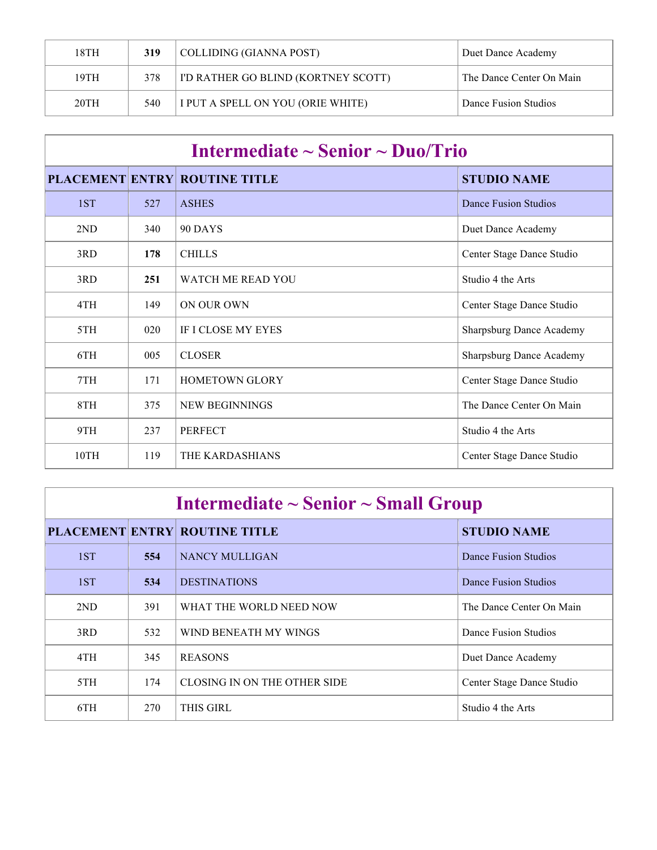| 18TH | 319 | COLLIDING (GIANNA POST)                    | Duet Dance Academy       |
|------|-----|--------------------------------------------|--------------------------|
| 19TH | 378 | <b>I'D RATHER GO BLIND (KORTNEY SCOTT)</b> | The Dance Center On Main |
| 20TH | 540 | I PUT A SPELL ON YOU (ORIE WHITE)          | Dance Fusion Studios     |

| Intermediate $\sim$ Senior $\sim$ Duo/Trio |     |                                      |                                 |
|--------------------------------------------|-----|--------------------------------------|---------------------------------|
|                                            |     | <b>PLACEMENT ENTRY ROUTINE TITLE</b> | <b>STUDIO NAME</b>              |
| 1ST                                        | 527 | <b>ASHES</b>                         | Dance Fusion Studios            |
| 2ND                                        | 340 | 90 DAYS                              | Duet Dance Academy              |
| 3RD                                        | 178 | <b>CHILLS</b>                        | Center Stage Dance Studio       |
| 3RD                                        | 251 | <b>WATCH ME READ YOU</b>             | Studio 4 the Arts               |
| 4TH                                        | 149 | ON OUR OWN                           | Center Stage Dance Studio       |
| 5TH                                        | 020 | <b>IF I CLOSE MY EYES</b>            | Sharpsburg Dance Academy        |
| 6TH                                        | 005 | <b>CLOSER</b>                        | <b>Sharpsburg Dance Academy</b> |
| 7TH                                        | 171 | <b>HOMETOWN GLORY</b>                | Center Stage Dance Studio       |
| 8TH                                        | 375 | NEW BEGINNINGS                       | The Dance Center On Main        |
| 9TH                                        | 237 | <b>PERFECT</b>                       | Studio 4 the Arts               |
| 10TH                                       | 119 | THE KARDASHIANS                      | Center Stage Dance Studio       |

| Intermediate $\sim$ Senior $\sim$ Small Group |     |                                      |                           |
|-----------------------------------------------|-----|--------------------------------------|---------------------------|
|                                               |     | <b>PLACEMENT ENTRY ROUTINE TITLE</b> | <b>STUDIO NAME</b>        |
| 1ST                                           | 554 | <b>NANCY MULLIGAN</b>                | Dance Fusion Studios      |
| 1ST                                           | 534 | <b>DESTINATIONS</b>                  | Dance Fusion Studios      |
| 2ND                                           | 391 | WHAT THE WORLD NEED NOW              | The Dance Center On Main  |
| 3RD                                           | 532 | WIND BENEATH MY WINGS                | Dance Fusion Studios      |
| 4TH                                           | 345 | <b>REASONS</b>                       | Duet Dance Academy        |
| 5TH                                           | 174 | CLOSING IN ON THE OTHER SIDE         | Center Stage Dance Studio |
| 6TH                                           | 270 | <b>THIS GIRL</b>                     | Studio 4 the Arts         |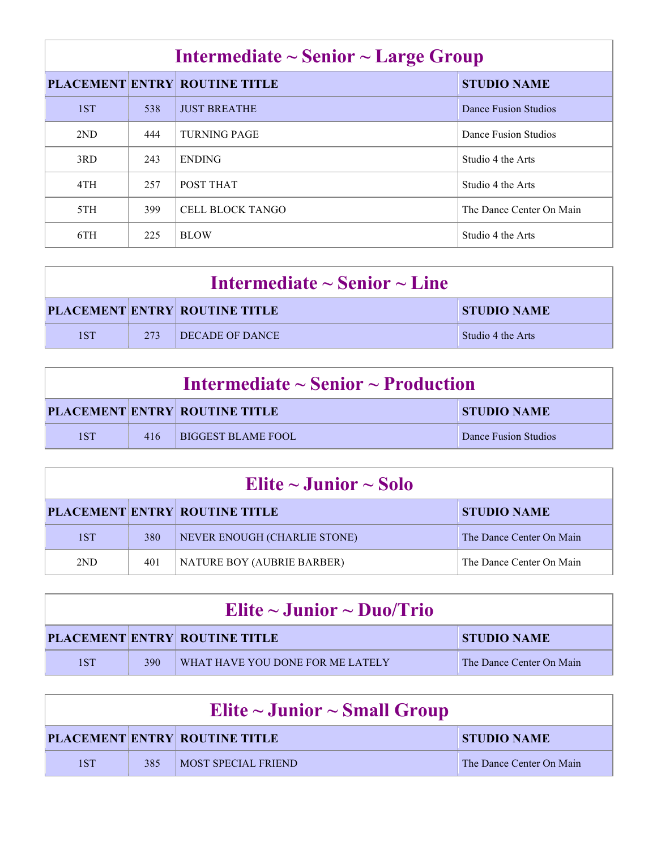| Intermediate $\sim$ Senior $\sim$ Large Group |     |                                      |                          |
|-----------------------------------------------|-----|--------------------------------------|--------------------------|
|                                               |     | <b>PLACEMENT ENTRY ROUTINE TITLE</b> | <b>STUDIO NAME</b>       |
| 1ST                                           | 538 | <b>JUST BREATHE</b>                  | Dance Fusion Studios     |
| 2ND                                           | 444 | <b>TURNING PAGE</b>                  | Dance Fusion Studios     |
| 3RD                                           | 243 | <b>ENDING</b>                        | Studio 4 the Arts        |
| 4TH                                           | 257 | POST THAT                            | Studio 4 the Arts        |
| 5TH                                           | 399 | CELL BLOCK TANGO                     | The Dance Center On Main |
| 6TH                                           | 225 | <b>BLOW</b>                          | Studio 4 the Arts        |

| Intermediate $\sim$ Senior $\sim$ Line |     |                                      |                    |
|----------------------------------------|-----|--------------------------------------|--------------------|
|                                        |     | <b>PLACEMENT ENTRY ROUTINE TITLE</b> | <b>STUDIO NAME</b> |
| 1ST                                    | 273 | DECADE OF DANCE                      | Studio 4 the Arts  |

| Intermediate $\sim$ Senior $\sim$ Production |     |                                      |                      |
|----------------------------------------------|-----|--------------------------------------|----------------------|
|                                              |     | <b>PLACEMENT ENTRY ROUTINE TITLE</b> | <b>STUDIO NAME</b>   |
| 1ST                                          | 416 | <b>BIGGEST BLAME FOOL</b>            | Dance Fusion Studios |

| Elite $\sim$ Junior $\sim$ Solo |     |                                      |                          |
|---------------------------------|-----|--------------------------------------|--------------------------|
|                                 |     | <b>PLACEMENT ENTRY ROUTINE TITLE</b> | <b>STUDIO NAME</b>       |
| 1ST                             | 380 | NEVER ENOUGH (CHARLIE STONE)         | The Dance Center On Main |
| 2ND                             | 401 | NATURE BOY (AUBRIE BARBER)           | The Dance Center On Main |

| Elite ~ Junior ~ Duo/Trio |     |                                      |                          |
|---------------------------|-----|--------------------------------------|--------------------------|
|                           |     | <b>PLACEMENT ENTRY ROUTINE TITLE</b> | <b>STUDIO NAME</b>       |
| 1ST                       | 390 | WHAT HAVE YOU DONE FOR ME LATELY     | The Dance Center On Main |

| Elite $\sim$ Junior $\sim$ Small Group |     |                                      |                          |
|----------------------------------------|-----|--------------------------------------|--------------------------|
|                                        |     | <b>PLACEMENT ENTRY ROUTINE TITLE</b> | <b>STUDIO NAME</b>       |
| 1ST                                    | 385 | <b>IMOST SPECIAL FRIEND</b>          | The Dance Center On Main |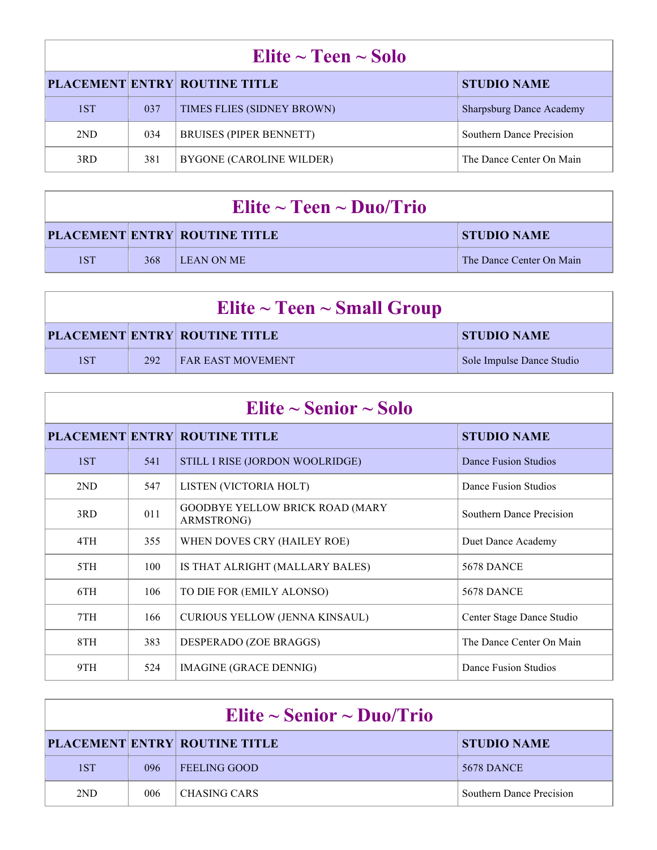| Elite $\sim$ Teen $\sim$ Solo |     |                                      |                                 |  |
|-------------------------------|-----|--------------------------------------|---------------------------------|--|
|                               |     | <b>PLACEMENT ENTRY ROUTINE TITLE</b> | <b>STUDIO NAME</b>              |  |
| 1ST                           | 037 | TIMES FLIES (SIDNEY BROWN)           | <b>Sharpsburg Dance Academy</b> |  |
| 2ND                           | 034 | <b>BRUISES (PIPER BENNETT)</b>       | <b>Southern Dance Precision</b> |  |
| 3RD                           | 381 | BYGONE (CAROLINE WILDER)             | The Dance Center On Main        |  |

| Elite $\sim$ Teen $\sim$ Duo/Trio |     |                                      |                          |
|-----------------------------------|-----|--------------------------------------|--------------------------|
|                                   |     | <b>PLACEMENT ENTRY ROUTINE TITLE</b> | STUDIO NAME              |
| 1ST                               | 368 | <b>LEAN ON ME</b>                    | The Dance Center On Main |

| Elite $\sim$ Teen $\sim$ Small Group |     |                                      |                           |  |
|--------------------------------------|-----|--------------------------------------|---------------------------|--|
|                                      |     | <b>PLACEMENT ENTRY ROUTINE TITLE</b> | <b>STUDIO NAME</b>        |  |
| 1ST                                  | 292 | <b>FAR EAST MOVEMENT</b>             | Sole Impulse Dance Studio |  |

| Elite $\sim$ Senior $\sim$ Solo |     |                                                      |                           |  |
|---------------------------------|-----|------------------------------------------------------|---------------------------|--|
|                                 |     | <b>PLACEMENT ENTRY ROUTINE TITLE</b>                 | <b>STUDIO NAME</b>        |  |
| 1ST                             | 541 | STILL I RISE (JORDON WOOLRIDGE)                      | Dance Fusion Studios      |  |
| 2ND                             | 547 | LISTEN (VICTORIA HOLT)                               | Dance Fusion Studios      |  |
| 3RD                             | 011 | <b>GOODBYE YELLOW BRICK ROAD (MARY</b><br>ARMSTRONG) | Southern Dance Precision  |  |
| 4TH                             | 355 | WHEN DOVES CRY (HAILEY ROE)                          | Duet Dance Academy        |  |
| 5TH                             | 100 | IS THAT ALRIGHT (MALLARY BALES)                      | <b>5678 DANCE</b>         |  |
| 6TH                             | 106 | TO DIE FOR (EMILY ALONSO)                            | <b>5678 DANCE</b>         |  |
| 7TH                             | 166 | CURIOUS YELLOW (JENNA KINSAUL)                       | Center Stage Dance Studio |  |
| 8TH                             | 383 | DESPERADO (ZOE BRAGGS)                               | The Dance Center On Main  |  |
| 9TH                             | 524 | IMAGINE (GRACE DENNIG)                               | Dance Fusion Studios      |  |

| Elite ~ Senior ~ Duo/Trio |     |                                      |                                 |  |
|---------------------------|-----|--------------------------------------|---------------------------------|--|
|                           |     | <b>PLACEMENT ENTRY ROUTINE TITLE</b> | <b>STUDIO NAME</b>              |  |
| 1ST                       | 096 | <b>FEELING GOOD</b>                  | <b>5678 DANCE</b>               |  |
| 2ND                       | 006 | CHASING CARS                         | <b>Southern Dance Precision</b> |  |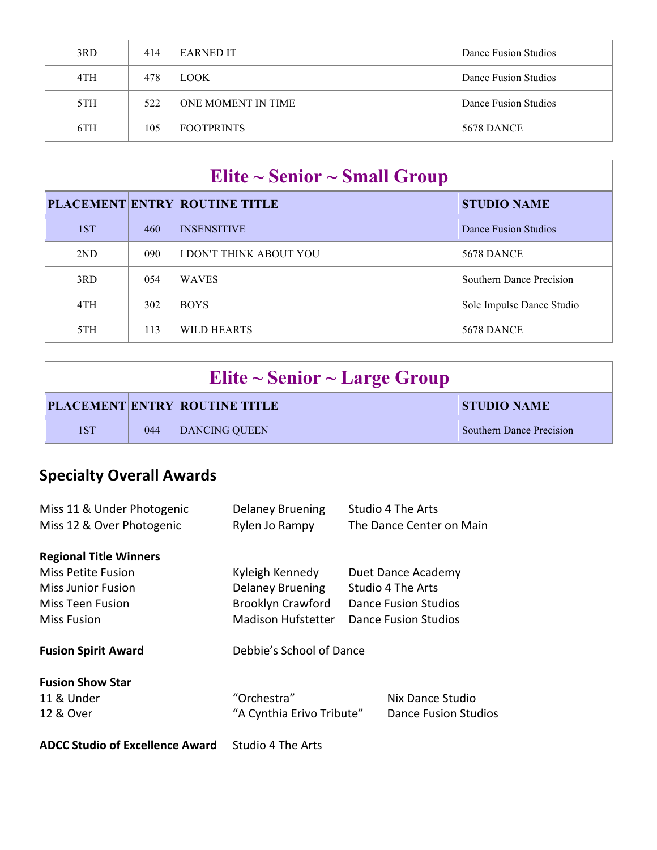| 3RD | 414 | <b>EARNED IT</b>   | Dance Fusion Studios |
|-----|-----|--------------------|----------------------|
| 4TH | 478 | <b>LOOK</b>        | Dance Fusion Studios |
| 5TH | 522 | ONE MOMENT IN TIME | Dance Fusion Studios |
| 6TH | 105 | <b>FOOTPRINTS</b>  | <b>5678 DANCE</b>    |

| Elite $\sim$ Senior $\sim$ Small Group |     |                                      |                                 |  |
|----------------------------------------|-----|--------------------------------------|---------------------------------|--|
|                                        |     | <b>PLACEMENT ENTRY ROUTINE TITLE</b> | <b>STUDIO NAME</b>              |  |
| 1ST                                    | 460 | <b>INSENSITIVE</b>                   | Dance Fusion Studios            |  |
| 2ND                                    | 090 | I DON'T THINK ABOUT YOU              | <b>5678 DANCE</b>               |  |
| 3RD                                    | 054 | <b>WAVES</b>                         | <b>Southern Dance Precision</b> |  |
| 4TH                                    | 302 | <b>BOYS</b>                          | Sole Impulse Dance Studio       |  |
| 5TH                                    | 113 | WILD HEARTS                          | <b>5678 DANCE</b>               |  |

| Elite $\sim$ Senior $\sim$ Large Group |     |                                      |                                 |  |
|----------------------------------------|-----|--------------------------------------|---------------------------------|--|
|                                        |     | <b>PLACEMENT ENTRY ROUTINE TITLE</b> | <b>STUDIO NAME</b>              |  |
| 1ST                                    | 044 | DANCING OUEEN                        | <b>Southern Dance Precision</b> |  |

## **Specialty Overall Awards**

| Miss 11 & Under Photogenic             | <b>Delaney Bruening</b>   | Studio 4 The Arts           |                          |  |
|----------------------------------------|---------------------------|-----------------------------|--------------------------|--|
| Miss 12 & Over Photogenic              | Rylen Jo Rampy            |                             | The Dance Center on Main |  |
| <b>Regional Title Winners</b>          |                           |                             |                          |  |
| Miss Petite Fusion                     | Kyleigh Kennedy           |                             | Duet Dance Academy       |  |
| Miss Junior Fusion                     | <b>Delaney Bruening</b>   | Studio 4 The Arts           |                          |  |
| Miss Teen Fusion                       | <b>Brooklyn Crawford</b>  | <b>Dance Fusion Studios</b> |                          |  |
| <b>Miss Fusion</b>                     | <b>Madison Hufstetter</b> | Dance Fusion Studios        |                          |  |
| <b>Fusion Spirit Award</b>             | Debbie's School of Dance  |                             |                          |  |
| <b>Fusion Show Star</b>                |                           |                             |                          |  |
| 11 & Under                             | "Orchestra"               |                             | Nix Dance Studio         |  |
| 12 & Over                              | "A Cynthia Erivo Tribute" |                             | Dance Fusion Studios     |  |
| <b>ADCC Studio of Excellence Award</b> | Studio 4 The Arts         |                             |                          |  |